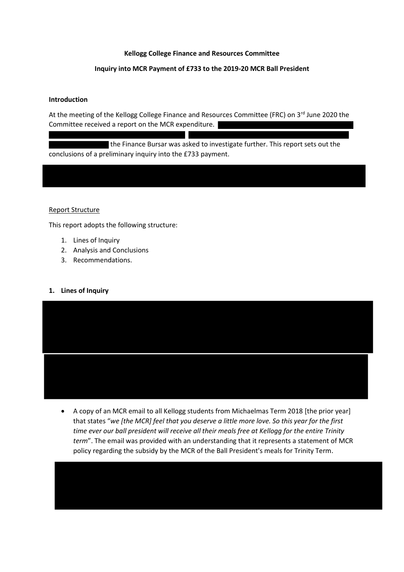### **Kellogg College Finance and Resources Committee**

### **Inquiry into MCR Payment of £733 to the 2019-20 MCR Ball President**

#### **Introduction**

At the meeting of the Kellogg College Finance and Resources Committee (FRC) on 3rd June 2020 the Committee received a report on the MCR expenditure.

 the Finance Bursar was asked to investigate further. This report sets out the conclusions of a preliminary inquiry into the £733 payment.

#### Report Structure

This report adopts the following structure:

- 1. Lines of Inquiry
- 2. Analysis and Conclusions
- 3. Recommendations.

### **1. Lines of Inquiry**



• A copy of an MCR email to all Kellogg students from Michaelmas Term 2018 [the prior year] that states "*we [the MCR] feel that you deserve a little more love. So this year for the first time ever our ball president will receive all their meals free at Kellogg for the entire Trinity term*". The email was provided with an understanding that it represents a statement of MCR policy regarding the subsidy by the MCR of the Ball President's meals for Trinity Term.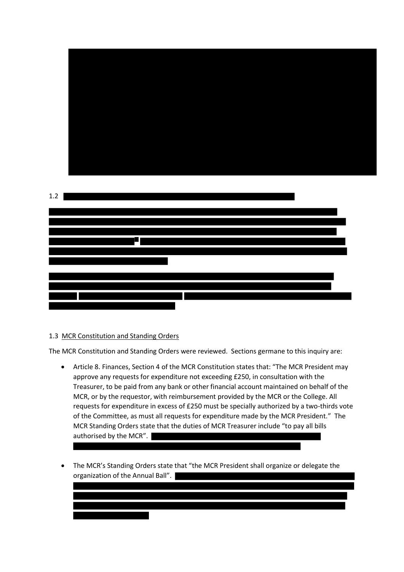

## 1.3 MCR Constitution and Standing Orders

The MCR Constitution and Standing Orders were reviewed. Sections germane to this inquiry are:

- Article 8. Finances, Section 4 of the MCR Constitution states that: "The MCR President may approve any requests for expenditure not exceeding £250, in consultation with the Treasurer, to be paid from any bank or other financial account maintained on behalf of the MCR, or by the requestor, with reimbursement provided by the MCR or the College. All requests for expenditure in excess of £250 must be specially authorized by a two-thirds vote of the Committee, as must all requests for expenditure made by the MCR President." The MCR Standing Orders state that the duties of MCR Treasurer include "to pay all bills authorised by the MCR".
- The MCR's Standing Orders state that "the MCR President shall organize or delegate the organization of the Annual Ball".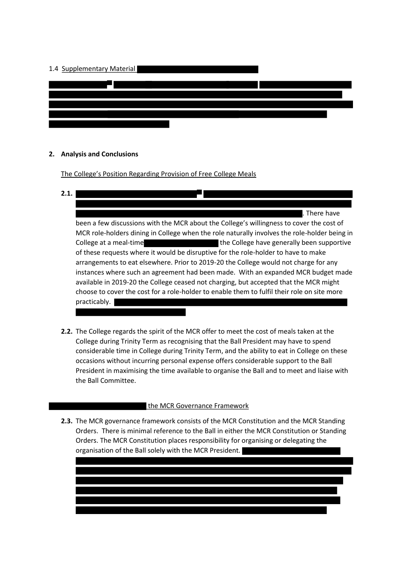![](_page_2_Figure_0.jpeg)

### **2. Analysis and Conclusions**

The College's Position Regarding Provision of Free College Meals

- **2.1.** . There have been a few discussions with the MCR about the College's willingness to cover the cost of MCR role-holders dining in College when the role naturally involves the role-holder being in College at a meal-time the College have generally been supportive of these requests where it would be disruptive for the role-holder to have to make arrangements to eat elsewhere. Prior to 2019-20 the College would not charge for any instances where such an agreement had been made. With an expanded MCR budget made available in 2019-20 the College ceased not charging, but accepted that the MCR might choose to cover the cost for a role-holder to enable them to fulfil their role on site more practicably.
- **2.2.** The College regards the spirit of the MCR offer to meet the cost of meals taken at the College during Trinity Term as recognising that the Ball President may have to spend considerable time in College during Trinity Term, and the ability to eat in College on these occasions without incurring personal expense offers considerable support to the Ball President in maximising the time available to organise the Ball and to meet and liaise with the Ball Committee.

## the MCR Governance Framework

**2.3.** The MCR governance framework consists of the MCR Constitution and the MCR Standing Orders. There is minimal reference to the Ball in either the MCR Constitution or Standing Orders. The MCR Constitution places responsibility for organising or delegating the organisation of the Ball solely with the MCR President.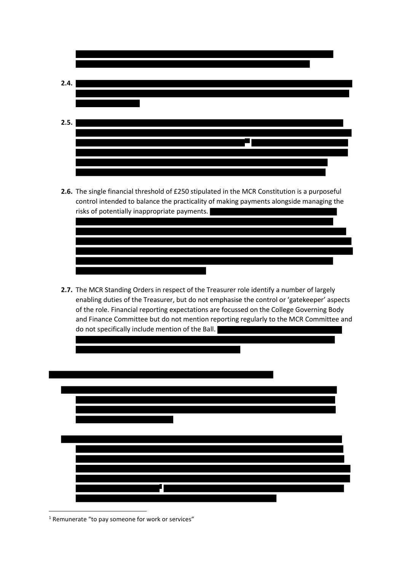![](_page_3_Figure_0.jpeg)

**2.6.** The single financial threshold of £250 stipulated in the MCR Constitution is a purposeful control intended to balance the practicality of making payments alongside managing the risks of potentially inappropriate payments.

**2.7.** The MCR Standing Orders in respect of the Treasurer role identify a number of largely enabling duties of the Treasurer, but do not emphasise the control or 'gatekeeper' aspects of the role. Financial reporting expectations are focussed on the College Governing Body and Finance Committee but do not mention reporting regularly to the MCR Committee and do not specifically include mention of the Ball.

![](_page_3_Figure_3.jpeg)

<sup>&</sup>lt;sup>1</sup> Remunerate "to pay someone for work or services"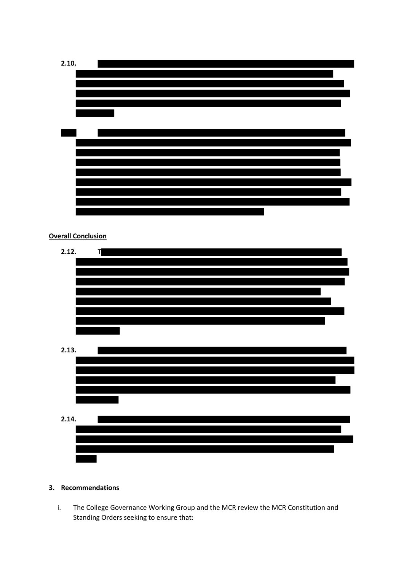![](_page_4_Figure_0.jpeg)

# **3. Recommendations**

i. The College Governance Working Group and the MCR review the MCR Constitution and Standing Orders seeking to ensure that: